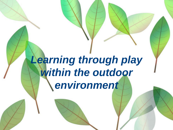# *Learning through play within the outdoor environment*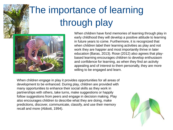# The importance of learning through play



When children have fond memories of learning through play in early childhood they will develop a positive attitude to learning in future years to come. Furthermore, it is recognized that when children label their learning activities as play and not work they are happier and most importantly thrive in later education (Baras, 2013). Rose (2012) also agrees that playbased learning encourages children to develop enthusiasm and confidence for learning, as when they find an activity appealing and of interest to them personally, they are more willing to be engaged and learn.

When children engage in play it provides opportunities for all areas of development to be enhanced. During play, children are provided with many opportunities to enhance their social skills as they work in partnerships with others, take turns, make suggestions or happily follow suggestions from peers and engage in decision making. Play also encourages children to describe what they are doing, make predictions, discover, communicate, classify, and use their memory recall and more (Abbott, 1994).

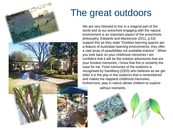

## The great outdoors

We are very blessed to live in a magical part of the world and at our preschool engaging with the natural environment is an important aspect of the preschools philosophy. Edwards and Mackenzie (2011, p.53) support this as they state "Outdoor learning spaces are a feature of Australian learning environments, they offer a vast array of possibilities not available indoors" . When you look back on your childhood memories I am confident that it will be the outdoor adventures that are your fondest memories, I know that this is certainly the case for me. Fond memories of the outdoors is recognised by Sandberg (2003) who believes as we get older it is the play in the outdoors that is remembered and makes the happiest childhood memories, furthermore, play in nature allows children to explore

without restraints.

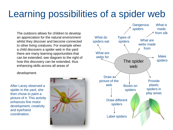## Learning possibilities of a spider web

The outdoors allows for children to develop an appreciation for the natural environment whilst they discover and become connected to other living creatures. For example when a child discovers a spider web in the yard there are many learning opportunities that can be extended, see diagram to the right of how this discovery can be extended, thus enhancing skills across all areas of

development.

After Lacey observed a spider in the yard, she then chose to paint a picture of it. This activity enhances fine motor development, creativity and eye/hand coordination.



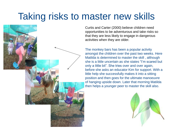#### Taking risks to master new skills



Curtis and Carter (2000) believe children need opportunities to be adventurous and take risks so that they are less likely to engage in dangerous activities when they are older.

The monkey bars has been a popular activity amongst the children over the past two weeks. Here Matilda is determined to master the skill , although she is a little uncertain as she states "I'm scared but only a little bit". She tries over and over again, before she asks an educator Kim for support. With a little help she successfully makes it into a sitting position and then goes for the ultimate manoeuvre of hanging upside down. Later that morning Matilda then helps a younger peer to master the skill also.

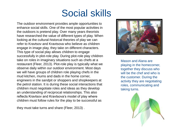### Social skills

The outdoor environment provides ample opportunities to enhance social skills. One of the most popular activities in the outdoors is pretend play. Over many years theorists have researched the value of different types of play. When looking at the cultural-historcal theories of play we can refer to Kravtsov and Kravtsova who believe as children engage in image play, they take on different characters. This type of social play allows children to engage successfully in plot-role play. During plot-role play children take on roles in imaginary situations such as chefs at a restaurant (Fleer, 2013). Plot-role play is typically what we observe daily within our outdoor environment. Most days we will have groups of children role playing chefs in the mud kitchen, mums and dads in the home corner, engineers in the sandpit or shoppers and shopkeepers at the petrol station. It is during these social interactions that children must negotiate roles and ideas as they develop an understanding of reciprocal relationships. This also reflects Kravtsov and Kravtsova's model of play where children must follow rules for the play to be successful as

they must take turns and share (Fleer, 2013) .



Mason and Alana are playing in the homecorner, together they discuss who will be the chef and who is the customer. During the activity they are negotiating roles, communicating and taking turns.

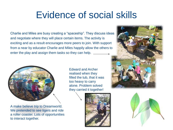### Evidence of social skills

Charlie and Miles are busy creating a "spaceship". They discuss ideas and negotiate where they will place certain items. The activity is exciting and as a result encourages more peers to join. With support from a near by educator Charlie and Miles happily allow the others to enter the play and assign them tasks so they can help.



A make believe trip to Dreamworld. We pretended to see tigers and ride a roller coaster. Lots of opportunities to interact together.

Edward and Archer realised when they filled the tub, that it was too heavy to carry alone. Problem solved they carried it together!



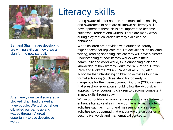

Ben and Shamira are developing pre writing skills as they draw a plan for the new sandpit.



After heavy rain we discovered a blocked drain had created a huge puddle. We took our shoes off, rolled our pants up and waded through. A great opportunity to use descriptive words.

# Literacy skills

Being aware of letter sounds, communication, spelling and awareness of print are all known as literacy skills, development of these skills are important to become successful readers and writers. There are many ways during play that children's literacy skills can be enhanced.

When children are provided with authentic literacy experiences that replicate real life activities such as letter writing, reading shopping lists etc they will have a clearer understanding of how literacy works within their community and wider world, thus enhancing a clearer knowledge of how literacy works overall (Raban, Brown, Care and Rickards, 2009). Raban et al (2009) also advocate that introducing children to activities found in formal schooling (such as stencils) too early is dangerous for their development. Bodrova (2008) agrees that preschool education should follow the Vygotskian approach by encouraging children to become competent in new skills through play.

Within our outdoor environment we encourage children to enhance literacy skills in many domains; to name a few, activities such as mixing and measuring and sensory activities i.e. goop/mud that encourage the discussion of descriptive words and mathematical concepts.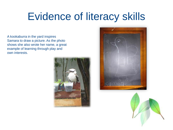# Evidence of literacy skills

A kookaburra in the yard inspires Samara to draw a picture. As the photo shows she also wrote her name, a great example of learning through play and own interests.





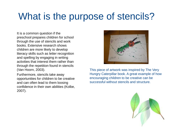## What is the purpose of stencils?

It is a common question if the preschool prepares children for school through the use of stencils and work books. Extensive research shows children are more likely to develop literacy skills such as letter recognition and spelling by engaging in writing activities that interest them rather than through the repetition found in stencils (Van Hoorn, 2003).

Furthermore, stencils take away opportunities for children to be creative and can often lead to them loosing confidence in their own abilities (Kolbe, 2007).



This piece of artwork was inspired by The Very Hungry Caterpillar book. A great example of how encouraging children to be creative can be successful without stencils and structure.

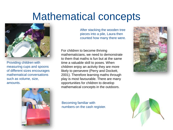## Mathematical concepts



Providing children with measuring cups and spoons of different sizes encourages mathematical conversations such as volume, size, amounts.



After stacking the wooden tree pieces into a pile, Laura then counted how many there were.

For children to become thriving mathematicians, we need to demonstrate to them that maths is fun but at the same time a valuable skill to poses. When children enjoy an activity they are more likely to persevere (Perry and Dockett, 2001). Therefore learning maths through play is most favourable. There are many opportunities for children to develop mathematical concepts in the outdoors.

Becoming familiar with numbers on the cash register.



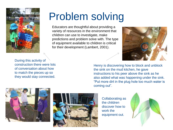

# Problem solving

Educators are thoughtful about providing a variety of resources in the environment that children can use to investigate, make predictions and problem solve with. The type of equipment available to children is critical for their development (Lambert, 2001).



During this activity of construction there were lots of conversation about how to match the pieces up so they would stay connected.

Henry is discovering how to block and unblock the sink on the mud kitchen, he gave instructions to his peer above the sink as he also added what was happening under the sink. "Put more dirt in the plug hole too much water is coming out".





Collaborating as the children discover how to work the equipment out.

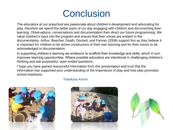### **Conclusion**

The educators at our preschool are passionate about children's development and advocating for play, therefore we spend the better parts of our day engaging with children and documenting their learning. Observations, conversations and documentation then direct our future programming. We value children's input into the program and ensure that their voices are evident in the documentation. Arthur, Beecher, Death, Dockett, and Farmer (2008) support this as they believe it is important for children to be active constructors of their own learning and for their voices to be acknowledged in documentation.

In supporting children's learning we endeavor to scaffold their knowledge and skills, which in turn improves learning opportunities. Where possible educators are intentional in challenging children's thinking and ask purposeful, open ended questions.

I hope you have gained resourceful information from this presentation and trust that the information has supported your understanding of the importance of play and how play promotes school readiness.



#### Thankyou Kerrie



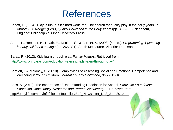#### References

Abbott, L. (1994). Play is fun, but it's hard work, too! The search for quality play in the early years. In L. Abbott & R. Rodger (Eds.), *Quality Education in the Early Years* (pp. 39-52). Buckingham, England: Philadelphia: Open University Press.

Arthur, L., Beecher, B., Death, E., Dockett, S., & Farmer, S. (2008) (4thed.). *Programming & planning in early childhood settings* (pp. 265-321). South Melbourne, Victoria: Thomson.

Baras, R. (2013). Kids learn through play. *Family Matters*. Retrieved from <http://www.ronitbaras.com/education-learning/kids-learn-through-play/>

Barblett, L & Maloney, C. (2010). Complexities of Assessing Social and Emotional Competence and Wellbeing in Young Children. *Journal of Early Childhood*, *35*(2), 13-18.

Bass, S. (2012). The Importance of Understanding Readiness for School. *Early Life Foundations Education Consultancy, Research and Parent Consultancy, 2.* Retrieved from http://earlylife.com.au/info/sites/default/files/ELF\_Newsletter\_No2\_June2012.pdf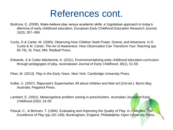#### References cont.

- Bodrova, E. (2008). Make-believe play versus academic skills: a Vygotskian approach to today's dilemma of early childhood education. *European Early Childhood Education Research Journal*, *16*(3), 357–369.
- Curtis, D & Carter, M. (2000). Observing How Children Seek Power, Drama, and Adventure. In D. Curtis & M. Carter, *The Art of Awareness: How Observation Can Transform Your Teaching (pp.* 65-76). St. Paul, MN: Redleaf Press.
- Edwards, S & Cutter-Mackenzie, A. (2011). Environmentalising early childhood education curriculum through pedagogies of play. *Australasian Journal of Early Childhood, 36(*1), 51-59.

Fleer, M. (2013). *Play in the Early Years*. New York: Cambridge University Press.

- Kolbe, U. (2007). *Rapunzel's Supermarket, All about children and their art (2nd ed.).* Byron Bay, Australia: Peppinot Press.
- Lambert, E. (2001). Metacognitive problem solving in preschoolers. *Australian Journal of Early Childhood (26)*3, 24-29.
- Pascal, C., & Bertram, T. (1994). Evaluating and Improving the Quality of Play. In J. Moyles, *The Excellence of Play* (pp.161-169). Buckingham, England, Philadelphia: Open University Press.